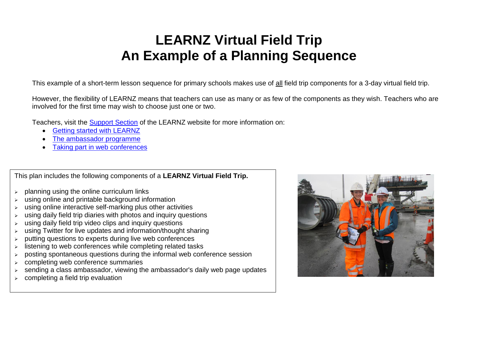## **LEARNZ Virtual Field Trip An Example of a Planning Sequence**

This example of a short-term lesson sequence for primary schools makes use of all field trip components for a 3-day virtual field trip.

However, the flexibility of LEARNZ means that teachers can use as many or as few of the components as they wish. Teachers who are involved for the first time may wish to choose just one or two.

Teachers, visit the [Support Section](http://www.learnz.org.nz/support) of the LEARNZ website for more information on:

- [Getting started with LEARNZ](http://www.learnz.org.nz/support/getting-started)
- [The ambassador programme](http://www.learnz.org.nz/support/ambassador-programme)
- [Taking part in web conferences](http://www.learnz.org.nz/support/audioconferences/introduction)

This plan includes the following components of a **LEARNZ Virtual Field Trip.**

- $\geq$  planning using the online curriculum links
- using online and printable background information
- using online interactive self-marking plus other activities
- $\triangleright$  using daily field trip diaries with photos and inquiry questions
- using daily field trip video clips and inquiry questions
- using Twitter for live updates and information/thought sharing
- $\triangleright$  putting questions to experts during live web conferences
- $\triangleright$  listening to web conferences while completing related tasks
- $\triangleright$  posting spontaneous questions during the informal web conference session
- completing web conference summaries
- sending a class ambassador, viewing the ambassador's daily web page updates
- $\epsilon$  schaing a class ambassador, we

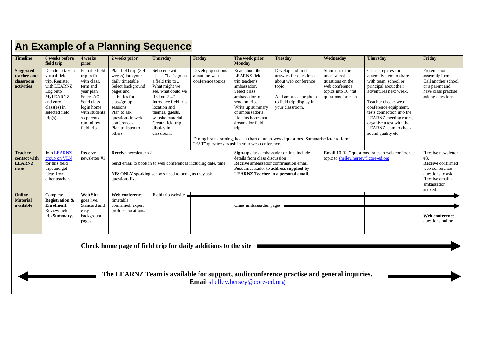| <b>An Example of a Planning Sequence</b>                                                                                      |                                                                                                                                                               |                                                                                                                                                                               |                                                                                                                                                                                                                               |                                                                                                                                                                                                                                                  |                                                         |                                                                                                                                                                                                                                                                       |                                                                                                                                                                                                                                          |                                                                                                                                                                                                                                                                                                        |                                                                                                                                           |        |  |  |
|-------------------------------------------------------------------------------------------------------------------------------|---------------------------------------------------------------------------------------------------------------------------------------------------------------|-------------------------------------------------------------------------------------------------------------------------------------------------------------------------------|-------------------------------------------------------------------------------------------------------------------------------------------------------------------------------------------------------------------------------|--------------------------------------------------------------------------------------------------------------------------------------------------------------------------------------------------------------------------------------------------|---------------------------------------------------------|-----------------------------------------------------------------------------------------------------------------------------------------------------------------------------------------------------------------------------------------------------------------------|------------------------------------------------------------------------------------------------------------------------------------------------------------------------------------------------------------------------------------------|--------------------------------------------------------------------------------------------------------------------------------------------------------------------------------------------------------------------------------------------------------------------------------------------------------|-------------------------------------------------------------------------------------------------------------------------------------------|--------|--|--|
| <b>Timeline</b>                                                                                                               | 6 weeks before<br>field trip                                                                                                                                  | 4 weeks<br>prior                                                                                                                                                              | 2 weeks prior                                                                                                                                                                                                                 | <b>Thursday</b>                                                                                                                                                                                                                                  | Friday                                                  | The week prior<br><b>Monday</b>                                                                                                                                                                                                                                       | <b>Tuesday</b>                                                                                                                                                                                                                           | Wednesday                                                                                                                                                                                                                                                                                              | <b>Thursday</b>                                                                                                                           | Friday |  |  |
| <b>Suggested</b><br>teacher and<br>classroom<br>activities                                                                    | Decide to take a<br>virtual field<br>trip. Register<br>with LEARNZ<br>Log onto<br><b>MyLEARNZ</b><br>and enrol<br>$class(es)$ in<br>selected field<br>trip(s) | Plan the field<br>trip to fit<br>with class.<br>term and<br>year plan.<br>Select AOs.<br>Send class<br>login home<br>with students<br>so parents<br>can follow<br>field trip. | Plan field trip (3-4<br>weeks) into your<br>daily timetable<br>Select background<br>pages and<br>activities for<br>class/group<br>sessions.<br>Plan to ask<br>questions in web<br>conferences.<br>Plan to listen to<br>others | Set scene with<br>class - "Let's go on<br>a field trip to<br>What might we<br>see, what could we<br>find out? "<br>Introduce field trip<br>location and<br>themes, guests,<br>website material.<br>Create field trip<br>display in<br>classroom. | Develop questions<br>about the web<br>conference topics | Read about the<br><b>LEARNZ</b> field<br>trip teacher's<br>ambassador.<br>Select class<br>ambassador to<br>send on trip.<br>Write up summary<br>of ambassador's<br>life plus hopes and<br>dreams for field<br>trip.<br>"FAT" questions to ask in your web conference. | Develop and find<br>answers for questions<br>about web conference<br>topic<br>Add ambassador photo<br>to field trip display in<br>your classroom.<br>During brainstorming, keep a chart of unanswered questions. Summarise later to form | Class prepares short<br>assembly item to share<br>with team, school or<br>principal about their<br>adventures next week.<br>Teacher checks web<br>conference equipment.<br>tests connection into the<br>LEARNZ meeting room,<br>organise a test with the<br>LEARNZ team to check<br>sound quality etc. | Present short<br>assembly item.<br>Call another school<br>or a parent and<br>have class practise<br>asking questions                      |        |  |  |
| <b>Teacher</b><br>contact with<br><b>LEARNZ</b><br>team                                                                       | Join <b>LEARNZ</b><br>group on VLN<br>for this field<br>trip, and get<br>ideas from<br>other teachers.                                                        | <b>Receive</b><br>newsletter #1                                                                                                                                               | <b>Receive</b> newsletter #2<br>Send email to book in to web conferences including date, time<br>NB: ONLY speaking schools need to book, as they ask<br>questions live.                                                       |                                                                                                                                                                                                                                                  |                                                         | details from class discussion<br>Receive ambassador confirmation email.<br><b>LEARNZ</b> Teacher in a personal email.                                                                                                                                                 | Sign-up class ambassador online, include<br>Post ambassador to address supplied by                                                                                                                                                       | Email 10 "fat" questions for each web conference<br>topic to shelley.hersey@core-ed.org                                                                                                                                                                                                                | <b>Receive</b> newsletter<br>#3.<br>Receive confirmed<br>web conference<br>questions to ask.<br>Receive email -<br>ambassador<br>arrived. |        |  |  |
| Online<br><b>Material</b><br>available                                                                                        | Complete<br><b>Registration &amp;</b><br>Enrolment.<br>Review field<br>trip Summary.                                                                          | <b>Web Site</b><br>goes live.<br>Standard and<br>easy<br>background<br>pages.                                                                                                 | Web conference<br>timetable<br>confirmed, expert<br>profiles, locations.                                                                                                                                                      | Field trip website                                                                                                                                                                                                                               |                                                         | <b>Class ambassador</b> pages                                                                                                                                                                                                                                         |                                                                                                                                                                                                                                          |                                                                                                                                                                                                                                                                                                        | Web conference<br>questions online                                                                                                        |        |  |  |
|                                                                                                                               |                                                                                                                                                               | Check home page of field trip for daily additions to the site                                                                                                                 |                                                                                                                                                                                                                               |                                                                                                                                                                                                                                                  |                                                         |                                                                                                                                                                                                                                                                       |                                                                                                                                                                                                                                          |                                                                                                                                                                                                                                                                                                        |                                                                                                                                           |        |  |  |
| The LEARNZ Team is available for support, audioconference practise and general inquiries.<br>Email shelley.hersey@core-ed.org |                                                                                                                                                               |                                                                                                                                                                               |                                                                                                                                                                                                                               |                                                                                                                                                                                                                                                  |                                                         |                                                                                                                                                                                                                                                                       |                                                                                                                                                                                                                                          |                                                                                                                                                                                                                                                                                                        |                                                                                                                                           |        |  |  |